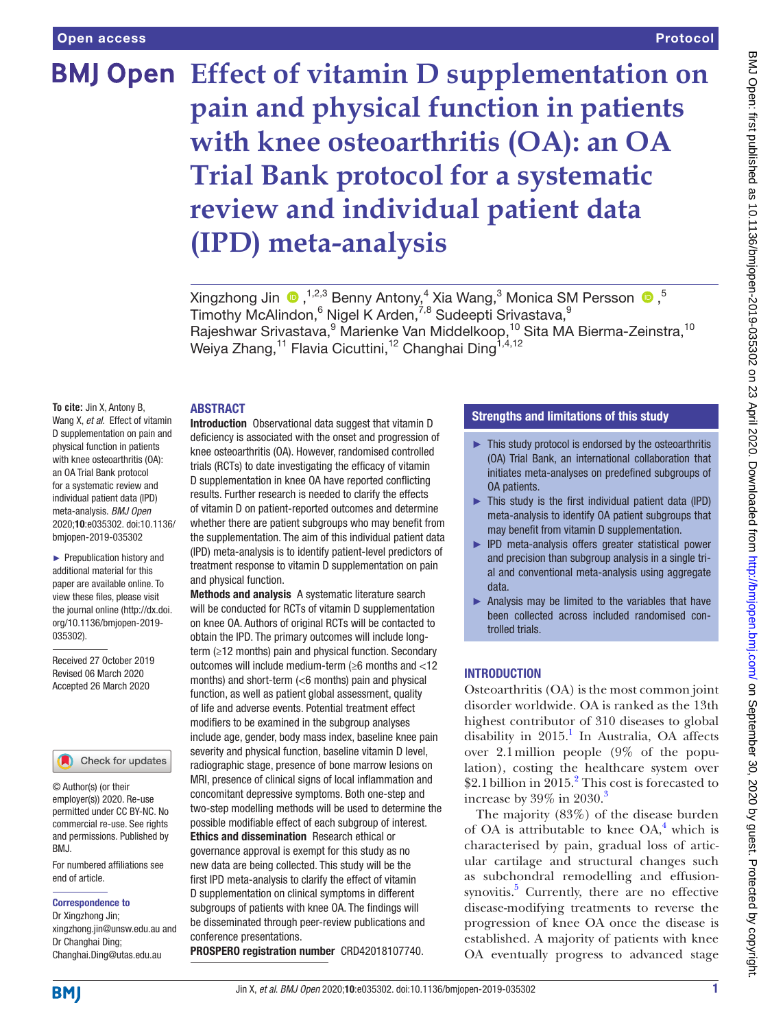### Protocol

# **BMJ Open Effect of vitamin D supplementation on pain and physical function in patients with knee osteoarthritis (OA): an OA Trial Bank protocol for a systematic review and individual patient data (IPD) meta-analysis**

Xingzhong Jin  $\bigcirc$  ,<sup>1,2,3</sup> Benny Antony,<sup>4</sup> Xia Wang,<sup>3</sup> Monica SM Persson  $\bigcirc$ ,<sup>5</sup> Timothy McAlindon, <sup>6</sup> Nigel K Arden, <sup>7,8</sup> Sudeepti Srivastava, <sup>9</sup> Rajeshwar Srivastava, <sup>9</sup> Marienke Van Middelkoop, <sup>10</sup> Sita MA Bierma-Zeinstra, <sup>10</sup> Weiya Zhang,<sup>11</sup> Flavia Cicuttini,<sup>12</sup> Changhai Ding<sup>1,4,12</sup>

### **ABSTRACT**

**To cite:** Jin X, Antony B, Wang X, *et al*. Effect of vitamin D supplementation on pain and physical function in patients with knee osteoarthritis (OA): an OA Trial Bank protocol for a systematic review and individual patient data (IPD) meta-analysis. *BMJ Open* 2020;10:e035302. doi:10.1136/ bmjopen-2019-035302

► Prepublication history and additional material for this paper are available online. To view these files, please visit the journal online (http://dx.doi. org/10.1136/bmjopen-2019- 035302).

Received 27 October 2019 Revised 06 March 2020 Accepted 26 March 2020

### Check for updates

© Author(s) (or their employer(s)) 2020. Re-use permitted under CC BY-NC. No commercial re-use. See rights and permissions. Published by RM<sub>J</sub>

For numbered affiliations see end of article.

### Correspondence to

Dr Xingzhong Jin; xingzhong.jin@unsw.edu.au and Dr Changhai Ding; Changhai.Ding@utas.edu.au

Introduction Observational data suggest that vitamin D deficiency is associated with the onset and progression of knee osteoarthritis (OA). However, randomised controlled trials (RCTs) to date investigating the efficacy of vitamin D supplementation in knee OA have reported conflicting results. Further research is needed to clarify the effects of vitamin D on patient-reported outcomes and determine whether there are patient subgroups who may benefit from the supplementation. The aim of this individual patient data (IPD) meta-analysis is to identify patient-level predictors of treatment response to vitamin D supplementation on pain and physical function.

Methods and analysis A systematic literature search will be conducted for RCTs of vitamin D supplementation on knee OA. Authors of original RCTs will be contacted to obtain the IPD. The primary outcomes will include longterm (≥12 months) pain and physical function. Secondary outcomes will include medium-term (≥6 months and <12 months) and short-term (<6 months) pain and physical function, as well as patient global assessment, quality of life and adverse events. Potential treatment effect modifiers to be examined in the subgroup analyses include age, gender, body mass index, baseline knee pain severity and physical function, baseline vitamin D level, radiographic stage, presence of bone marrow lesions on MRI, presence of clinical signs of local inflammation and concomitant depressive symptoms. Both one-step and two-step modelling methods will be used to determine the possible modifiable effect of each subgroup of interest. Ethics and dissemination Research ethical or governance approval is exempt for this study as no new data are being collected. This study will be the first IPD meta-analysis to clarify the effect of vitamin D supplementation on clinical symptoms in different subgroups of patients with knee OA. The findings will be disseminated through peer-review publications and conference presentations.

PROSPERO registration number CRD42018107740.

### Strengths and limitations of this study

- ► This study protocol is endorsed by the osteoarthritis (OA) Trial Bank, an international collaboration that initiates meta-analyses on predefined subgroups of OA patients.
- $\blacktriangleright$  This study is the first individual patient data (IPD) meta-analysis to identify OA patient subgroups that may benefit from vitamin D supplementation.
- ► IPD meta-analysis offers greater statistical power and precision than subgroup analysis in a single trial and conventional meta-analysis using aggregate data.
- ► Analysis may be limited to the variables that have been collected across included randomised controlled trials.

### **INTRODUCTION**

Osteoarthritis (OA) is the most common joint disorder worldwide. OA is ranked as the 13th highest contributor of 310 diseases to global disability in  $2015$  $2015$  $2015$ .<sup>1</sup> In Australia, OA affects over 2.1million people (9% of the population), costing the healthcare system over \$2.1 billion in 2015.<sup>2</sup> This cost is forecasted to increase by  $39\%$  $39\%$  in  $2030$ .<sup>3</sup>

The majority (83%) of the disease burden of OA is attributable to knee  $OA<sub>1</sub><sup>4</sup>$  $OA<sub>1</sub><sup>4</sup>$  $OA<sub>1</sub><sup>4</sup>$  which is characterised by pain, gradual loss of articular cartilage and structural changes such as subchondral remodelling and effusion-synovitis.<sup>[5](#page-6-4)</sup> Currently, there are no effective disease-modifying treatments to reverse the progression of knee OA once the disease is established. A majority of patients with knee OA eventually progress to advanced stage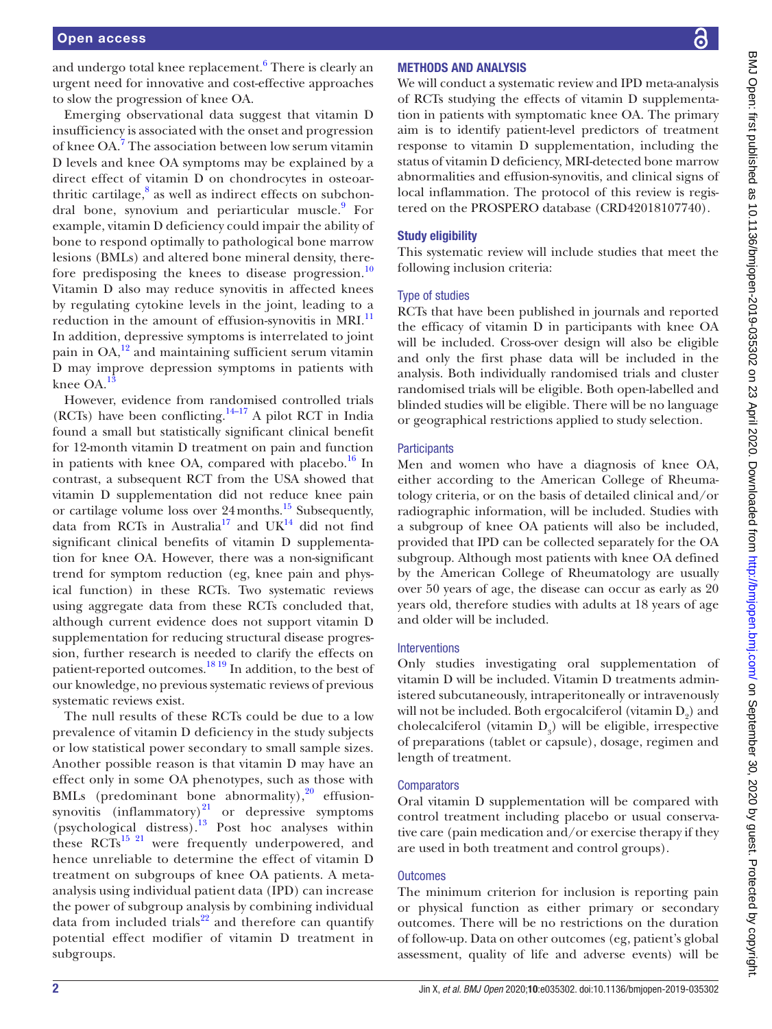and undergo total knee replacement. $^6$  $^6$  There is clearly an urgent need for innovative and cost-effective approaches to slow the progression of knee OA.

Emerging observational data suggest that vitamin D insufficiency is associated with the onset and progression of knee OA.<sup>[7](#page-6-6)</sup> The association between low serum vitamin D levels and knee OA symptoms may be explained by a direct effect of vitamin D on chondrocytes in osteoarthritic cartilage, $8$  as well as indirect effects on subchon-dral bone, synovium and periarticular muscle.<sup>[9](#page-6-8)</sup> For example, vitamin D deficiency could impair the ability of bone to respond optimally to pathological bone marrow lesions (BMLs) and altered bone mineral density, there-fore predisposing the knees to disease progression.<sup>[10](#page-6-9)</sup> Vitamin D also may reduce synovitis in affected knees by regulating cytokine levels in the joint, leading to a reduction in the amount of effusion-synovitis in MRI.<sup>[11](#page-6-10)</sup> In addition, depressive symptoms is interrelated to joint pain in  $OA<sup>12</sup>$  $OA<sup>12</sup>$  $OA<sup>12</sup>$  and maintaining sufficient serum vitamin D may improve depression symptoms in patients with knee OA.[13](#page-6-12)

However, evidence from randomised controlled trials (RCTs) have been conflicting.<sup>[14–17](#page-6-13)</sup> A pilot RCT in India found a small but statistically significant clinical benefit for 12-month vitamin D treatment on pain and function in patients with knee OA, compared with placebo. $^{16}$  In contrast, a subsequent RCT from the USA showed that vitamin D supplementation did not reduce knee pain or cartilage volume loss over 24months[.15](#page-6-15) Subsequently, data from RCTs in Australia<sup>17</sup> and UK<sup>14</sup> did not find significant clinical benefits of vitamin D supplementation for knee OA. However, there was a non-significant trend for symptom reduction (eg, knee pain and physical function) in these RCTs. Two systematic reviews using aggregate data from these RCTs concluded that, although current evidence does not support vitamin D supplementation for reducing structural disease progression, further research is needed to clarify the effects on patient-reported outcomes. $^{18\,19}$  In addition, to the best of our knowledge, no previous systematic reviews of previous systematic reviews exist.

The null results of these RCTs could be due to a low prevalence of vitamin D deficiency in the study subjects or low statistical power secondary to small sample sizes. Another possible reason is that vitamin D may have an effect only in some OA phenotypes, such as those with BMLs (predominant bone abnormality), $^{20}$  $^{20}$  $^{20}$  effusionsynovitis (inflammatory)<sup>21</sup> or depressive symptoms (psychological distress).<sup>13</sup> Post hoc analyses within these  $\text{RCTs}^{15}$ <sup>21</sup> were frequently underpowered, and hence unreliable to determine the effect of vitamin D treatment on subgroups of knee OA patients. A metaanalysis using individual patient data (IPD) can increase the power of subgroup analysis by combining individual data from included trials $^{22}$  and therefore can quantify potential effect modifier of vitamin D treatment in subgroups.

# BMJ Open: first published as 10.1136/bmijopen-2019-035302 on 23 April 2020. Downloaded from http://bmjopen.bmj.com/ on September 30, 2020 by guest. Protected by copyright BMJ Open: first published as 10.1136/bmjopen-2019-035302 on 23 April 2020. Downloaded from <http://bmjopen.bmj.com/> on September 30, 2020 by guest. Protected by copyright.

# Methods and analysis

We will conduct a systematic review and IPD meta-analysis of RCTs studying the effects of vitamin D supplementation in patients with symptomatic knee OA. The primary aim is to identify patient-level predictors of treatment response to vitamin D supplementation, including the status of vitamin D deficiency, MRI-detected bone marrow abnormalities and effusion-synovitis, and clinical signs of local inflammation. The protocol of this review is registered on the PROSPERO database (CRD42018107740).

### Study eligibility

This systematic review will include studies that meet the following inclusion criteria:

### Type of studies

RCTs that have been published in journals and reported the efficacy of vitamin D in participants with knee OA will be included. Cross-over design will also be eligible and only the first phase data will be included in the analysis. Both individually randomised trials and cluster randomised trials will be eligible. Both open-labelled and blinded studies will be eligible. There will be no language or geographical restrictions applied to study selection.

### **Participants**

Men and women who have a diagnosis of knee OA, either according to the American College of Rheumatology criteria, or on the basis of detailed clinical and/or radiographic information, will be included. Studies with a subgroup of knee OA patients will also be included, provided that IPD can be collected separately for the OA subgroup. Although most patients with knee OA defined by the American College of Rheumatology are usually over 50 years of age, the disease can occur as early as 20 years old, therefore studies with adults at 18 years of age and older will be included.

### **Interventions**

Only studies investigating oral supplementation of vitamin D will be included. Vitamin D treatments administered subcutaneously, intraperitoneally or intravenously will not be included. Both ergocal<br>ciferol (vitamin  $\mathbf{D}_{\mathbf{2}})$  and cholecalciferol (vitamin  $D_3$ ) will be eligible, irrespective of preparations (tablet or capsule), dosage, regimen and length of treatment.

### **Comparators**

Oral vitamin D supplementation will be compared with control treatment including placebo or usual conservative care (pain medication and/or exercise therapy if they are used in both treatment and control groups).

### **Outcomes**

The minimum criterion for inclusion is reporting pain or physical function as either primary or secondary outcomes. There will be no restrictions on the duration of follow-up. Data on other outcomes (eg, patient's global assessment, quality of life and adverse events) will be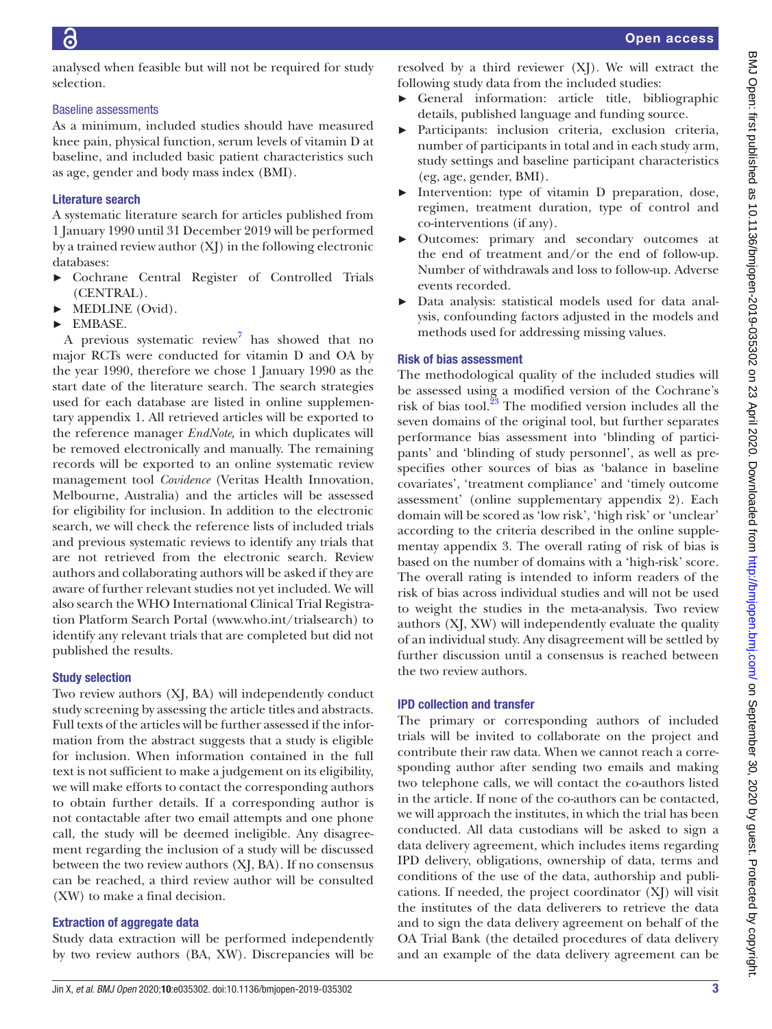analysed when feasible but will not be required for study selection.

### Baseline assessments

As a minimum, included studies should have measured knee pain, physical function, serum levels of vitamin D at baseline, and included basic patient characteristics such as age, gender and body mass index (BMI).

# Literature search

A systematic literature search for articles published from 1 January 1990 until 31 December 2019 will be performed by a trained review author (XJ) in the following electronic databases:

- ► Cochrane Central Register of Controlled Trials (CENTRAL).
- ► MEDLINE (Ovid).
- ► EMBASE.

A previous systematic review<sup>[7](#page-6-6)</sup> has showed that no major RCTs were conducted for vitamin D and OA by the year 1990, therefore we chose 1 January 1990 as the start date of the literature search. The search strategies used for each database are listed in [online supplemen](https://dx.doi.org/10.1136/bmjopen-2019-035302)[tary appendix 1](https://dx.doi.org/10.1136/bmjopen-2019-035302). All retrieved articles will be exported to the reference manager *EndNote,* in which duplicates will be removed electronically and manually. The remaining records will be exported to an online systematic review management tool *Covidence* (Veritas Health Innovation, Melbourne, Australia) and the articles will be assessed for eligibility for inclusion. In addition to the electronic search, we will check the reference lists of included trials and previous systematic reviews to identify any trials that are not retrieved from the electronic search. Review authors and collaborating authors will be asked if they are aware of further relevant studies not yet included. We will also search the WHO International Clinical Trial Registration Platform Search Portal [\(www.who.int/trialsearch](www.who.int/trialsearch)) to identify any relevant trials that are completed but did not published the results.

### Study selection

Two review authors (XJ, BA) will independently conduct study screening by assessing the article titles and abstracts. Full texts of the articles will be further assessed if the information from the abstract suggests that a study is eligible for inclusion. When information contained in the full text is not sufficient to make a judgement on its eligibility, we will make efforts to contact the corresponding authors to obtain further details. If a corresponding author is not contactable after two email attempts and one phone call, the study will be deemed ineligible. Any disagreement regarding the inclusion of a study will be discussed between the two review authors (XJ, BA). If no consensus can be reached, a third review author will be consulted (XW) to make a final decision.

# Extraction of aggregate data

Study data extraction will be performed independently by two review authors (BA, XW). Discrepancies will be

resolved by a third reviewer (XJ). We will extract the following study data from the included studies:

- ► General information: article title, bibliographic details, published language and funding source.
- ► Participants: inclusion criteria, exclusion criteria, number of participants in total and in each study arm, study settings and baseline participant characteristics (eg, age, gender, BMI).
- ► Intervention: type of vitamin D preparation, dose, regimen, treatment duration, type of control and co-interventions (if any).
- ► Outcomes: primary and secondary outcomes at the end of treatment and/or the end of follow-up. Number of withdrawals and loss to follow-up. Adverse events recorded.
- Data analysis: statistical models used for data analysis, confounding factors adjusted in the models and methods used for addressing missing values.

## Risk of bias assessment

The methodological quality of the included studies will be assessed using a modified version of the Cochrane's risk of bias tool. $^{23}$  The modified version includes all the seven domains of the original tool, but further separates performance bias assessment into 'blinding of participants' and 'blinding of study personnel', as well as prespecifies other sources of bias as 'balance in baseline covariates', 'treatment compliance' and 'timely outcome assessment' [\(online supplementary appendix 2](https://dx.doi.org/10.1136/bmjopen-2019-035302)). Each domain will be scored as 'low risk', 'high risk' or 'unclear' according to the criteria described in the [online supple](https://dx.doi.org/10.1136/bmjopen-2019-035302)[mentay appendix 3.](https://dx.doi.org/10.1136/bmjopen-2019-035302) The overall rating of risk of bias is based on the number of domains with a 'high-risk' score. The overall rating is intended to inform readers of the risk of bias across individual studies and will not be used to weight the studies in the meta-analysis. Two review authors (XJ, XW) will independently evaluate the quality of an individual study. Any disagreement will be settled by further discussion until a consensus is reached between the two review authors.

### IPD collection and transfer

The primary or corresponding authors of included trials will be invited to collaborate on the project and contribute their raw data. When we cannot reach a corresponding author after sending two emails and making two telephone calls, we will contact the co-authors listed in the article. If none of the co-authors can be contacted, we will approach the institutes, in which the trial has been conducted. All data custodians will be asked to sign a data delivery agreement, which includes items regarding IPD delivery, obligations, ownership of data, terms and conditions of the use of the data, authorship and publications. If needed, the project coordinator (XJ) will visit the institutes of the data deliverers to retrieve the data and to sign the data delivery agreement on behalf of the OA Trial Bank (the detailed procedures of data delivery and an example of the data delivery agreement can be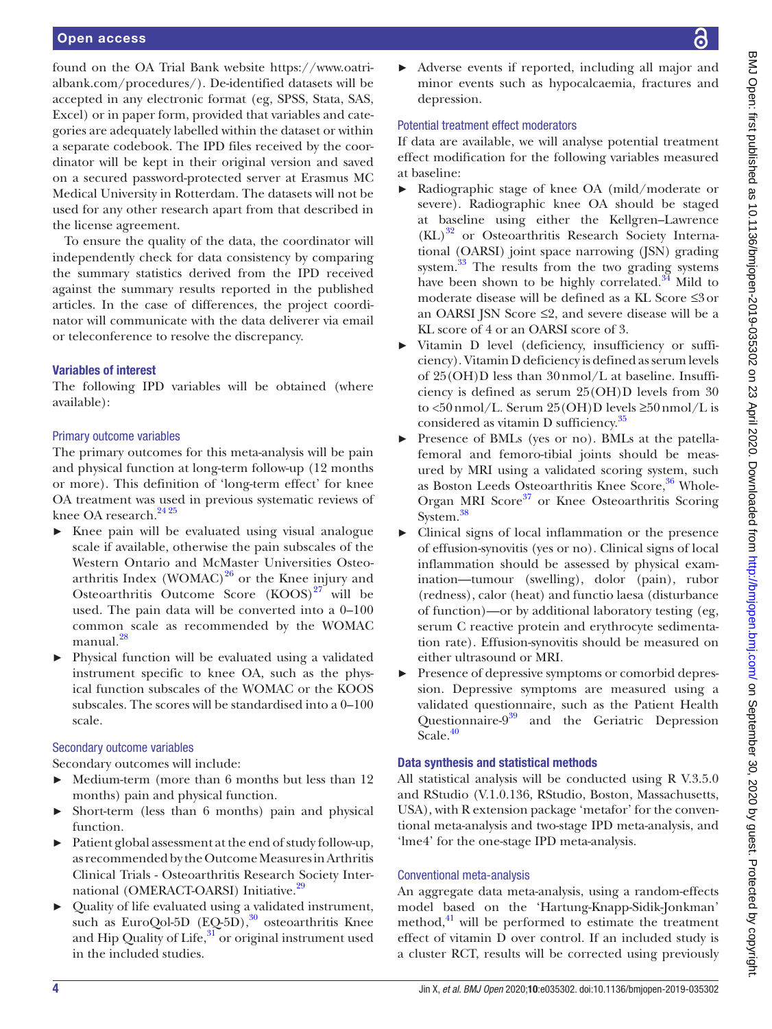found on the OA Trial Bank website [https://www.oatri](https://www.oatrialbank.com/procedures/)[albank.com/procedures/\)](https://www.oatrialbank.com/procedures/). De-identified datasets will be accepted in any electronic format (eg, SPSS, Stata, SAS, Excel) or in paper form, provided that variables and categories are adequately labelled within the dataset or within a separate codebook. The IPD files received by the coordinator will be kept in their original version and saved on a secured password-protected server at Erasmus MC Medical University in Rotterdam. The datasets will not be used for any other research apart from that described in the license agreement.

To ensure the quality of the data, the coordinator will independently check for data consistency by comparing the summary statistics derived from the IPD received against the summary results reported in the published articles. In the case of differences, the project coordinator will communicate with the data deliverer via email or teleconference to resolve the discrepancy.

## Variables of interest

The following IPD variables will be obtained (where available):

## Primary outcome variables

The primary outcomes for this meta-analysis will be pain and physical function at long-term follow-up (12 months or more). This definition of 'long-term effect' for knee OA treatment was used in previous systematic reviews of knee OA research. $24\,25$ 

- Knee pain will be evaluated using visual analogue scale if available, otherwise the pain subscales of the Western Ontario and McMaster Universities Osteoarthritis Index (WOMAC) $^{26}$  $^{26}$  $^{26}$  or the Knee injury and Osteoarthritis Outcome Score  $(KOOS)^{27}$  will be used. The pain data will be converted into a 0–100 common scale as recommended by the WOMAC manual.<sup>[28](#page-6-25)</sup>
- ► Physical function will be evaluated using a validated instrument specific to knee OA, such as the physical function subscales of the WOMAC or the KOOS subscales. The scores will be standardised into a 0–100 scale.

# Secondary outcome variables

Secondary outcomes will include:

- Medium-term (more than 6 months but less than 12 months) pain and physical function.
- Short-term (less than 6 months) pain and physical function.
- Patient global assessment at the end of study follow-up, as recommended by the Outcome Measures in Arthritis Clinical Trials - Osteoarthritis Research Society Inter-national (OMERACT-OARSI) Initiative.<sup>[29](#page-6-26)</sup>
- ► Quality of life evaluated using a validated instrument, such as EuroQol-5D  $(EO-5D)$ ,  $30$  osteoarthritis Knee and Hip Quality of Life, $31$  or original instrument used in the included studies.

► Adverse events if reported, including all major and minor events such as hypocalcaemia, fractures and depression.

# Potential treatment effect moderators

If data are available, we will analyse potential treatment effect modification for the following variables measured at baseline:

- Radiographic stage of knee OA (mild/moderate or severe). Radiographic knee OA should be staged at baseline using either the Kellgren–Lawrence  $(KL)^{32}$  or Osteoarthritis Research Society International (OARSI) joint space narrowing (JSN) grading system. $33$  The results from the two grading systems have been shown to be highly correlated. $34$  Mild to moderate disease will be defined as a KL Score ≤3or an OARSI JSN Score  $\leq$ 2, and severe disease will be a KL score of 4 or an OARSI score of 3.
- Vitamin D level (deficiency, insufficiency or sufficiency). Vitamin D deficiency is defined as serum levels of 25(OH)D less than 30nmol/L at baseline. Insufficiency is defined as serum 25(OH)D levels from 30 to <50nmol/L. Serum 25(OH)D levels ≥50nmol/L is considered as vitamin D sufficiency.<sup>[35](#page-6-32)</sup>
- ► Presence of BMLs (yes or no). BMLs at the patellafemoral and femoro-tibial joints should be measured by MRI using a validated scoring system, such as Boston Leeds Osteoarthritis Knee Score,<sup>36</sup> Whole-Organ MRI Score<sup>37</sup> or Knee Osteoarthritis Scoring System.<sup>[38](#page-6-35)</sup>
- ► Clinical signs of local inflammation or the presence of effusion-synovitis (yes or no). Clinical signs of local inflammation should be assessed by physical examination—tumour (swelling), dolor (pain), rubor (redness), calor (heat) and functio laesa (disturbance of function)—or by additional laboratory testing (eg, serum C reactive protein and erythrocyte sedimentation rate). Effusion-synovitis should be measured on either ultrasound or MRI.
- Presence of depressive symptoms or comorbid depression. Depressive symptoms are measured using a validated questionnaire, such as the Patient Health Questionnaire-9[39](#page-6-36) and the Geriatric Depression Scale.<sup>40</sup>

# Data synthesis and statistical methods

All statistical analysis will be conducted using R V.3.5.0 and RStudio (V.1.0.136, RStudio, Boston, Massachusetts, USA), with R extension package 'metafor' for the conventional meta-analysis and two-stage IPD meta-analysis, and 'lme4' for the one-stage IPD meta-analysis.

# Conventional meta-analysis

An aggregate data meta-analysis, using a random-effects model based on the 'Hartung-Knapp-Sidik-Jonkman' method, $41$  will be performed to estimate the treatment effect of vitamin D over control. If an included study is a cluster RCT, results will be corrected using previously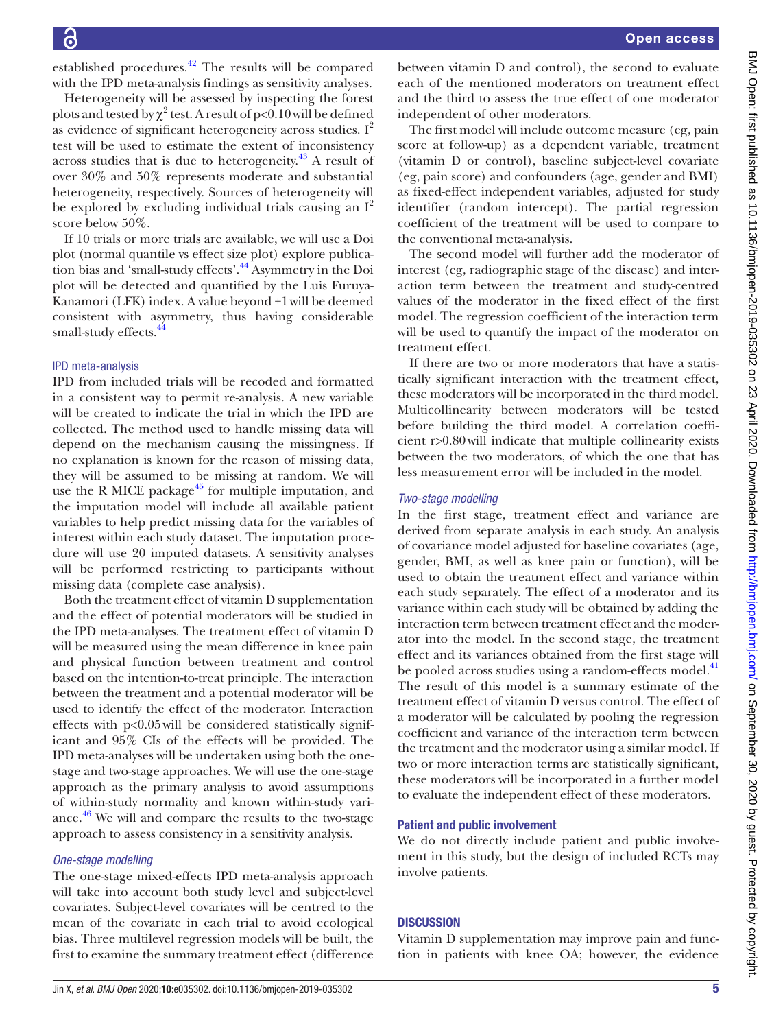a

established procedures. $42$  The results will be compared with the IPD meta-analysis findings as sensitivity analyses.

Heterogeneity will be assessed by inspecting the forest plots and tested by  $\chi^2$  test. A result of p<0.10 will be defined as evidence of significant heterogeneity across studies.  $I^2$ test will be used to estimate the extent of inconsistency across studies that is due to heterogeneity[.43](#page-7-1) A result of over 30% and 50% represents moderate and substantial heterogeneity, respectively. Sources of heterogeneity will be explored by excluding individual trials causing an  $I^2$ score below 50%.

If 10 trials or more trials are available, we will use a Doi plot (normal quantile vs effect size plot) explore publication bias and 'small-study effects'.[44](#page-7-2) Asymmetry in the Doi plot will be detected and quantified by the Luis Furuya-Kanamori (LFK) index. A value beyond ±1will be deemed consistent with asymmetry, thus having considerable small-study effects.<sup>44</sup>

### IPD meta-analysis

IPD from included trials will be recoded and formatted in a consistent way to permit re-analysis. A new variable will be created to indicate the trial in which the IPD are collected. The method used to handle missing data will depend on the mechanism causing the missingness. If no explanation is known for the reason of missing data, they will be assumed to be missing at random. We will use the R MICE package<sup> $45$ </sup> for multiple imputation, and the imputation model will include all available patient variables to help predict missing data for the variables of interest within each study dataset. The imputation procedure will use 20 imputed datasets. A sensitivity analyses will be performed restricting to participants without missing data (complete case analysis).

Both the treatment effect of vitamin D supplementation and the effect of potential moderators will be studied in the IPD meta-analyses. The treatment effect of vitamin D will be measured using the mean difference in knee pain and physical function between treatment and control based on the intention-to-treat principle. The interaction between the treatment and a potential moderator will be used to identify the effect of the moderator. Interaction effects with p<0.05will be considered statistically significant and 95% CIs of the effects will be provided. The IPD meta-analyses will be undertaken using both the onestage and two-stage approaches. We will use the one-stage approach as the primary analysis to avoid assumptions of within-study normality and known within-study vari-ance.<sup>[46](#page-7-4)</sup> We will and compare the results to the two-stage approach to assess consistency in a sensitivity analysis.

### *One-stage modelling*

The one-stage mixed-effects IPD meta-analysis approach will take into account both study level and subject-level covariates. Subject-level covariates will be centred to the mean of the covariate in each trial to avoid ecological bias. Three multilevel regression models will be built, the first to examine the summary treatment effect (difference between vitamin D and control), the second to evaluate each of the mentioned moderators on treatment effect and the third to assess the true effect of one moderator independent of other moderators.

The first model will include outcome measure (eg, pain score at follow-up) as a dependent variable, treatment (vitamin D or control), baseline subject-level covariate (eg, pain score) and confounders (age, gender and BMI) as fixed-effect independent variables, adjusted for study identifier (random intercept). The partial regression coefficient of the treatment will be used to compare to the conventional meta-analysis.

The second model will further add the moderator of interest (eg, radiographic stage of the disease) and interaction term between the treatment and study-centred values of the moderator in the fixed effect of the first model. The regression coefficient of the interaction term will be used to quantify the impact of the moderator on treatment effect.

If there are two or more moderators that have a statistically significant interaction with the treatment effect, these moderators will be incorporated in the third model. Multicollinearity between moderators will be tested before building the third model. A correlation coefficient r>0.80will indicate that multiple collinearity exists between the two moderators, of which the one that has less measurement error will be included in the model.

### *Two-stage modelling*

In the first stage, treatment effect and variance are derived from separate analysis in each study. An analysis of covariance model adjusted for baseline covariates (age, gender, BMI, as well as knee pain or function), will be used to obtain the treatment effect and variance within each study separately. The effect of a moderator and its variance within each study will be obtained by adding the interaction term between treatment effect and the moderator into the model. In the second stage, the treatment effect and its variances obtained from the first stage will be pooled across studies using a random-effects model.<sup>[41](#page-6-38)</sup> The result of this model is a summary estimate of the treatment effect of vitamin D versus control. The effect of a moderator will be calculated by pooling the regression coefficient and variance of the interaction term between the treatment and the moderator using a similar model. If two or more interaction terms are statistically significant, these moderators will be incorporated in a further model to evaluate the independent effect of these moderators.

### Patient and public involvement

We do not directly include patient and public involvement in this study, but the design of included RCTs may involve patients.

# **DISCUSSION**

Vitamin D supplementation may improve pain and function in patients with knee OA; however, the evidence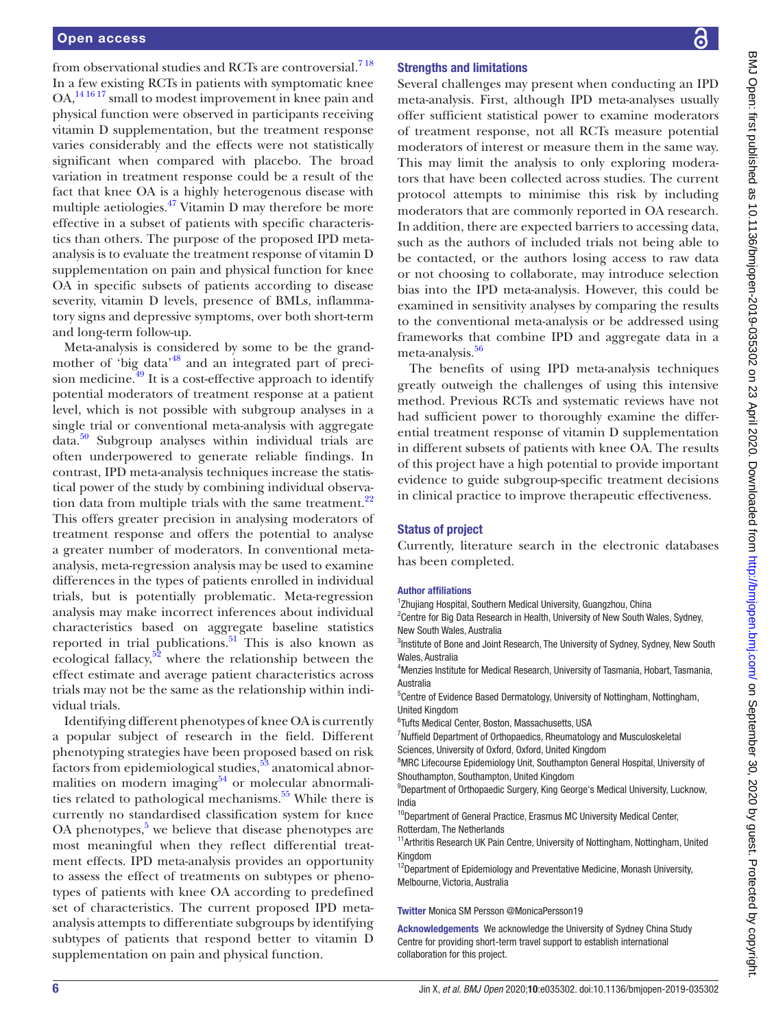from observational studies and RCTs are controversial.<sup>718</sup> In a few existing RCTs in patients with symptomatic knee OA,[14 16 17](#page-6-13) small to modest improvement in knee pain and physical function were observed in participants receiving vitamin D supplementation, but the treatment response varies considerably and the effects were not statistically significant when compared with placebo. The broad variation in treatment response could be a result of the fact that knee OA is a highly heterogenous disease with multiple aetiologies.<sup>[47](#page-7-5)</sup> Vitamin D may therefore be more effective in a subset of patients with specific characteristics than others. The purpose of the proposed IPD metaanalysis is to evaluate the treatment response of vitamin D supplementation on pain and physical function for knee OA in specific subsets of patients according to disease severity, vitamin D levels, presence of BMLs, inflammatory signs and depressive symptoms, over both short-term and long-term follow-up.

Meta-analysis is considered by some to be the grandmother of 'big data'[48](#page-7-6) and an integrated part of preci-sion medicine.<sup>[49](#page-7-7)</sup> It is a cost-effective approach to identify potential moderators of treatment response at a patient level, which is not possible with subgroup analyses in a single trial or conventional meta-analysis with aggregate data.[50](#page-7-8) Subgroup analyses within individual trials are often underpowered to generate reliable findings. In contrast, IPD meta-analysis techniques increase the statistical power of the study by combining individual observation data from multiple trials with the same treatment.<sup>22</sup> This offers greater precision in analysing moderators of treatment response and offers the potential to analyse a greater number of moderators. In conventional metaanalysis, meta-regression analysis may be used to examine differences in the types of patients enrolled in individual trials, but is potentially problematic. Meta-regression analysis may make incorrect inferences about individual characteristics based on aggregate baseline statistics reported in trial publications.<sup>51</sup> This is also known as ecological fallacy, $52$  where the relationship between the effect estimate and average patient characteristics across trials may not be the same as the relationship within individual trials.

Identifying different phenotypes of knee OA is currently a popular subject of research in the field. Different phenotyping strategies have been proposed based on risk factors from epidemiological studies, $53$  anatomical abnormalities on modern imaging $54$  or molecular abnormalities related to pathological mechanisms.<sup>55</sup> While there is currently no standardised classification system for knee OA phenotypes, $5$  we believe that disease phenotypes are most meaningful when they reflect differential treatment effects. IPD meta-analysis provides an opportunity to assess the effect of treatments on subtypes or phenotypes of patients with knee OA according to predefined set of characteristics. The current proposed IPD metaanalysis attempts to differentiate subgroups by identifying subtypes of patients that respond better to vitamin D supplementation on pain and physical function.

### Strengths and limitations

Several challenges may present when conducting an IPD meta-analysis. First, although IPD meta-analyses usually offer sufficient statistical power to examine moderators of treatment response, not all RCTs measure potential moderators of interest or measure them in the same way. This may limit the analysis to only exploring moderators that have been collected across studies. The current protocol attempts to minimise this risk by including moderators that are commonly reported in OA research. In addition, there are expected barriers to accessing data, such as the authors of included trials not being able to be contacted, or the authors losing access to raw data or not choosing to collaborate, may introduce selection bias into the IPD meta-analysis. However, this could be examined in sensitivity analyses by comparing the results to the conventional meta-analysis or be addressed using frameworks that combine IPD and aggregate data in a meta-analysis.<sup>56</sup>

The benefits of using IPD meta-analysis techniques greatly outweigh the challenges of using this intensive method. Previous RCTs and systematic reviews have not had sufficient power to thoroughly examine the differential treatment response of vitamin D supplementation in different subsets of patients with knee OA. The results of this project have a high potential to provide important evidence to guide subgroup-specific treatment decisions in clinical practice to improve therapeutic effectiveness.

### Status of project

Currently, literature search in the electronic databases has been completed.

### Author affiliations

<sup>1</sup>Zhujiang Hospital, Southern Medical University, Guangzhou, China

<sup>2</sup> Centre for Big Data Research in Health, University of New South Wales, Sydney, New South Wales, Australia

<sup>3</sup>Institute of Bone and Joint Research, The University of Sydney, Sydney, New South Wales, Australia

4 Menzies Institute for Medical Research, University of Tasmania, Hobart, Tasmania, Australia

<sup>5</sup> Centre of Evidence Based Dermatology, University of Nottingham, Nottingham, United Kingdom

6 Tufts Medical Center, Boston, Massachusetts, USA

7 Nuffield Department of Orthopaedics, Rheumatology and Musculoskeletal Sciences, University of Oxford, Oxford, United Kingdom

<sup>8</sup>MRC Lifecourse Epidemiology Unit, Southampton General Hospital, University of Shouthampton, Southampton, United Kingdom

<sup>9</sup>Department of Orthopaedic Surgery, King George's Medical University, Lucknow, India

<sup>10</sup>Department of General Practice, Erasmus MC University Medical Center, Rotterdam, The Netherlands

<sup>11</sup> Arthritis Research UK Pain Centre, University of Nottingham, Nottingham, United Kingdom

<sup>12</sup>Department of Epidemiology and Preventative Medicine, Monash University, Melbourne, Victoria, Australia

Twitter Monica SM Persson [@MonicaPersson19](https://twitter.com/MonicaPersson19)

Acknowledgements We acknowledge the University of Sydney China Study Centre for providing short-term travel support to establish international collaboration for this project.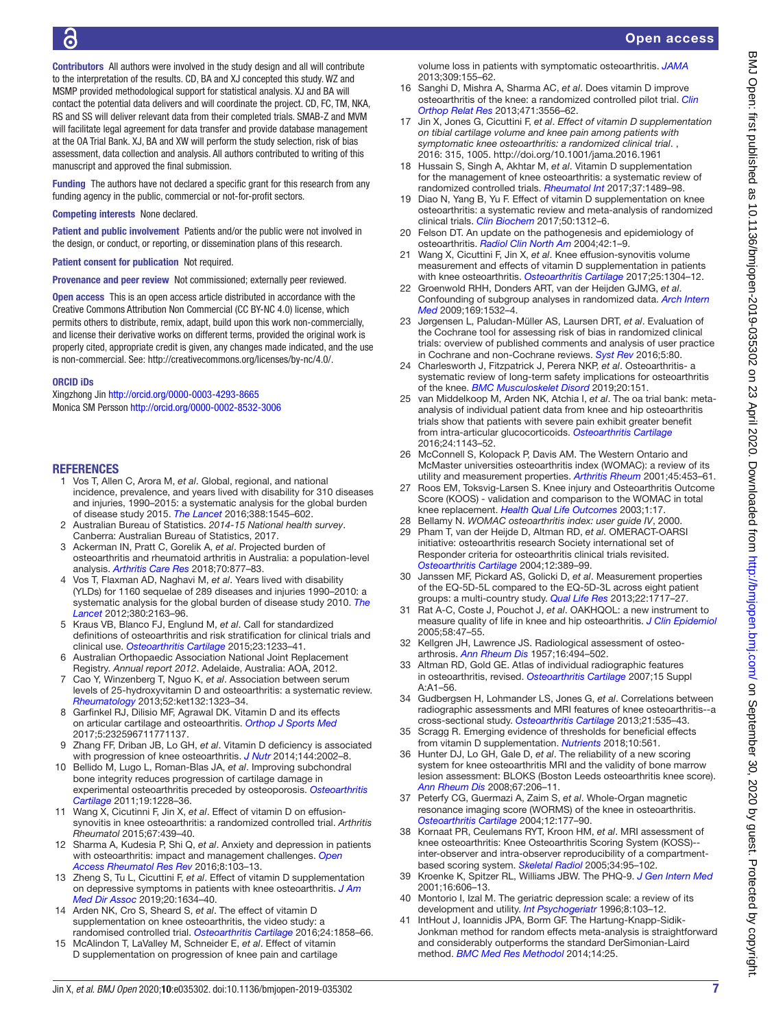Contributors All authors were involved in the study design and all will contribute to the interpretation of the results. CD, BA and XJ concepted this study. WZ and MSMP provided methodological support for statistical analysis. XJ and BA will contact the potential data delivers and will coordinate the project. CD, FC, TM, NKA, RS and SS will deliver relevant data from their completed trials. SMAB-Z and MVM will facilitate legal agreement for data transfer and provide database management at the OA Trial Bank. XJ, BA and XW will perform the study selection, risk of bias assessment, data collection and analysis. All authors contributed to writing of this manuscript and approved the final submission.

Funding The authors have not declared a specific grant for this research from any funding agency in the public, commercial or not-for-profit sectors.

### Competing interests None declared.

Patient and public involvement Patients and/or the public were not involved in the design, or conduct, or reporting, or dissemination plans of this research.

Patient consent for publication Not required.

Provenance and peer review Not commissioned; externally peer reviewed.

Open access This is an open access article distributed in accordance with the Creative Commons Attribution Non Commercial (CC BY-NC 4.0) license, which permits others to distribute, remix, adapt, build upon this work non-commercially, and license their derivative works on different terms, provided the original work is properly cited, appropriate credit is given, any changes made indicated, and the use is non-commercial. See: [http://creativecommons.org/licenses/by-nc/4.0/.](http://creativecommons.org/licenses/by-nc/4.0/)

### ORCID iDs

Xingzhong Jin <http://orcid.org/0000-0003-4293-8665> Monica SM Persson <http://orcid.org/0000-0002-8532-3006>

### **REFERENCES**

- <span id="page-6-0"></span>1 Vos T, Allen C, Arora M, *et al*. Global, regional, and national incidence, prevalence, and years lived with disability for 310 diseases and injuries, 1990–2015: a systematic analysis for the global burden of disease study 2015. *[The Lancet](http://dx.doi.org/10.1016/S0140-6736(16)31678-6)* 2016;388:1545–602.
- <span id="page-6-1"></span>2 Australian Bureau of Statistics. *2014-15 National health survey*. Canberra: Australian Bureau of Statistics, 2017.
- <span id="page-6-2"></span>3 Ackerman IN, Pratt C, Gorelik A, *et al*. Projected burden of osteoarthritis and rheumatoid arthritis in Australia: a population-level analysis. *[Arthritis Care Res](http://dx.doi.org/10.1002/acr.23414)* 2018;70:877–83.
- <span id="page-6-3"></span>4 Vos T, Flaxman AD, Naghavi M, *et al*. Years lived with disability (YLDs) for 1160 sequelae of 289 diseases and injuries 1990–2010: a systematic analysis for the global burden of disease study 2010. *[The](http://dx.doi.org/10.1016/S0140-6736(12)61729-2)  [Lancet](http://dx.doi.org/10.1016/S0140-6736(12)61729-2)* 2012;380:2163–96.
- <span id="page-6-4"></span>5 Kraus VB, Blanco FJ, Englund M, *et al*. Call for standardized definitions of osteoarthritis and risk stratification for clinical trials and clinical use. *[Osteoarthritis Cartilage](http://dx.doi.org/10.1016/j.joca.2015.03.036)* 2015;23:1233–41.
- <span id="page-6-5"></span>6 Australian Orthopaedic Association National Joint Replacement Registry. *Annual report 2012*. Adelaide, Australia: AOA, 2012.
- <span id="page-6-6"></span>7 Cao Y, Winzenberg T, Nguo K, *et al*. Association between serum levels of 25-hydroxyvitamin D and osteoarthritis: a systematic review. *[Rheumatology](http://dx.doi.org/10.1093/rheumatology/ket132)* 2013;52:ket132:1323–34.
- <span id="page-6-7"></span>8 Garfinkel RJ, Dilisio MF, Agrawal DK. Vitamin D and its effects on articular cartilage and osteoarthritis. *[Orthop J Sports Med](http://dx.doi.org/10.1177/2325967117711376)* 2017;5:232596711771137.
- <span id="page-6-8"></span>9 Zhang FF, Driban JB, Lo GH, *et al*. Vitamin D deficiency is associated with progression of knee osteoarthritis. *[J Nutr](http://dx.doi.org/10.3945/jn.114.193227)* 2014;144:2002–8.
- <span id="page-6-9"></span>10 Bellido M, Lugo L, Roman-Blas JA, *et al*. Improving subchondral bone integrity reduces progression of cartilage damage in experimental osteoarthritis preceded by osteoporosis. *[Osteoarthritis](http://dx.doi.org/10.1016/j.joca.2011.07.003)  [Cartilage](http://dx.doi.org/10.1016/j.joca.2011.07.003)* 2011;19:1228–36.
- <span id="page-6-10"></span>11 Wang X, Cicutinni F, Jin X, *et al*. Effect of vitamin D on effusionsynovitis in knee osteoarthritis: a randomized controlled trial. *Arthritis Rheumatol* 2015;67:439–40.
- <span id="page-6-11"></span>12 Sharma A, Kudesia P, Shi Q, *et al*. Anxiety and depression in patients with osteoarthritis: impact and management challenges. *[Open](http://dx.doi.org/10.2147/OARRR.S93516)  [Access Rheumatol Res Rev](http://dx.doi.org/10.2147/OARRR.S93516)* 2016;8:103–13.
- <span id="page-6-12"></span>13 Zheng S, Tu L, Cicuttini F, *et al*. Effect of vitamin D supplementation on depressive symptoms in patients with knee osteoarthritis. *[J Am](http://dx.doi.org/10.1016/j.jamda.2018.09.006)  [Med Dir Assoc](http://dx.doi.org/10.1016/j.jamda.2018.09.006)* 2019;20:1634–40.
- <span id="page-6-13"></span>14 Arden NK, Cro S, Sheard S, *et al*. The effect of vitamin D supplementation on knee osteoarthritis, the video study: a randomised controlled trial. *[Osteoarthritis Cartilage](http://dx.doi.org/10.1016/j.joca.2016.05.020)* 2016;24:1858–66.
- <span id="page-6-15"></span>15 McAlindon T, LaValley M, Schneider E, *et al*. Effect of vitamin D supplementation on progression of knee pain and cartilage

volume loss in patients with symptomatic osteoarthritis. *[JAMA](http://dx.doi.org/10.1001/jama.2012.164487)* 2013;309:155–62.

- <span id="page-6-14"></span>16 Sanghi D, Mishra A, Sharma AC, *et al*. Does vitamin D improve osteoarthritis of the knee: a randomized controlled pilot trial. *[Clin](http://dx.doi.org/10.1007/s11999-013-3201-6)  [Orthop Relat Res](http://dx.doi.org/10.1007/s11999-013-3201-6)* 2013;471:3556–62.
- <span id="page-6-16"></span>17 Jin X, Jones G, Cicuttini F, *et al*. *[Effect of vitamin D supplementation](http://dx.doi.org/10.1001/jama.2016.1961)  [on tibial cartilage volume and knee pain among patients with](http://dx.doi.org/10.1001/jama.2016.1961)  [symptomatic knee osteoarthritis: a randomized clinical trial](http://dx.doi.org/10.1001/jama.2016.1961)*. , 2016: 315, 1005.<http://doi.org/10.1001/jama.2016.1961>
- <span id="page-6-17"></span>18 Hussain S, Singh A, Akhtar M, *et al*. Vitamin D supplementation for the management of knee osteoarthritis: a systematic review of randomized controlled trials. *[Rheumatol Int](http://dx.doi.org/10.1007/s00296-017-3719-0)* 2017;37:1489–98.
- 19 Diao N, Yang B, Yu F. Effect of vitamin D supplementation on knee osteoarthritis: a systematic review and meta-analysis of randomized clinical trials. *[Clin Biochem](http://dx.doi.org/10.1016/j.clinbiochem.2017.09.001)* 2017;50:1312–6.
- <span id="page-6-18"></span>20 Felson DT. An update on the pathogenesis and epidemiology of osteoarthritis. *[Radiol Clin North Am](http://dx.doi.org/10.1016/S0033-8389(03)00161-1)* 2004;42:1–9.
- <span id="page-6-19"></span>21 Wang X, Cicuttini F, Jin X, *et al*. Knee effusion-synovitis volume measurement and effects of vitamin D supplementation in patients with knee osteoarthritis. *[Osteoarthritis Cartilage](http://dx.doi.org/10.1016/j.joca.2017.02.804)* 2017;25:1304–12.
- <span id="page-6-20"></span>22 Groenwold RHH, Donders ART, van der Heijden GJMG, *et al*. Confounding of subgroup analyses in randomized data. *[Arch Intern](http://dx.doi.org/10.1001/archinternmed.2009.250)  [Med](http://dx.doi.org/10.1001/archinternmed.2009.250)* 2009;169:1532–4.
- <span id="page-6-21"></span>23 Jørgensen L, Paludan-Müller AS, Laursen DRT, *et al*. Evaluation of the Cochrane tool for assessing risk of bias in randomized clinical trials: overview of published comments and analysis of user practice in Cochrane and non-Cochrane reviews. *[Syst Rev](http://dx.doi.org/10.1186/s13643-016-0259-8)* 2016;5:80.
- <span id="page-6-22"></span>24 Charlesworth J, Fitzpatrick J, Perera NKP, *et al*. Osteoarthritis- a systematic review of long-term safety implications for osteoarthritis of the knee. *[BMC Musculoskelet Disord](http://dx.doi.org/10.1186/s12891-019-2525-0)* 2019;20:151.
- 25 van Middelkoop M, Arden NK, Atchia I, *et al*. The oa trial bank: metaanalysis of individual patient data from knee and hip osteoarthritis trials show that patients with severe pain exhibit greater benefit from intra-articular glucocorticoids. *[Osteoarthritis Cartilage](http://dx.doi.org/10.1016/j.joca.2016.01.983)* 2016;24:1143–52.
- <span id="page-6-23"></span>26 McConnell S, Kolopack P, Davis AM. The Western Ontario and McMaster universities osteoarthritis index (WOMAC): a review of its utility and measurement properties. *[Arthritis Rheum](http://dx.doi.org/10.1002/1529-0131(200110)45:5<453::AID-ART365>3.0.CO;2-W)* 2001;45:453–61.
- <span id="page-6-24"></span>27 Roos EM, Toksvig-Larsen S. Knee injury and Osteoarthritis Outcome Score (KOOS) - validation and comparison to the WOMAC in total knee replacement. *[Health Qual Life Outcomes](http://dx.doi.org/10.1186/1477-7525-1-17)* 2003;1:17.
- <span id="page-6-25"></span>28 Bellamy N. *WOMAC osteoarthritis index: user guide IV*, 2000.
- <span id="page-6-26"></span>29 Pham T, van der Heijde D, Altman RD, *et al*. OMERACT-OARSI initiative: osteoarthritis research Society international set of Responder criteria for osteoarthritis clinical trials revisited. *[Osteoarthritis Cartilage](http://dx.doi.org/10.1016/j.joca.2004.02.001)* 2004;12:389–99.
- <span id="page-6-27"></span>30 Janssen MF, Pickard AS, Golicki D, *et al*. Measurement properties of the EQ-5D-5L compared to the EQ-5D-3L across eight patient groups: a multi-country study. *[Qual Life Res](http://dx.doi.org/10.1007/s11136-012-0322-4)* 2013;22:1717–27.
- <span id="page-6-28"></span>31 Rat A-C, Coste J, Pouchot J, *et al*. OAKHQOL: a new instrument to measure quality of life in knee and hip osteoarthritis. *[J Clin Epidemiol](http://dx.doi.org/10.1016/j.jclinepi.2004.04.011)* 2005;58:47–55.
- <span id="page-6-29"></span>32 Kellgren JH, Lawrence JS. Radiological assessment of osteoarthrosis. *[Ann Rheum Dis](http://dx.doi.org/10.1136/ard.16.4.494)* 1957;16:494–502.
- <span id="page-6-30"></span>33 Altman RD, Gold GE. Atlas of individual radiographic features in osteoarthritis, revised. *[Osteoarthritis Cartilage](http://dx.doi.org/10.1016/j.joca.2006.11.009)* 2007;15 Suppl A:A1–56.
- <span id="page-6-31"></span>34 Gudbergsen H, Lohmander LS, Jones G, *et al*. Correlations between radiographic assessments and MRI features of knee osteoarthritis--a cross-sectional study. *[Osteoarthritis Cartilage](http://dx.doi.org/10.1016/j.joca.2012.12.010)* 2013;21:535–43.
- <span id="page-6-32"></span>35 Scragg R. Emerging evidence of thresholds for beneficial effects from vitamin D supplementation. *[Nutrients](http://dx.doi.org/10.3390/nu10050561)* 2018;10:561.
- <span id="page-6-33"></span>36 Hunter DJ, Lo GH, Gale D, *et al*. The reliability of a new scoring system for knee osteoarthritis MRI and the validity of bone marrow lesion assessment: BLOKS (Boston Leeds osteoarthritis knee score). *[Ann Rheum Dis](http://dx.doi.org/10.1136/ard.2006.066183)* 2008;67:206–11.
- <span id="page-6-34"></span>37 Peterfy CG, Guermazi A, Zaim S, *et al*. Whole-Organ magnetic resonance imaging score (WORMS) of the knee in osteoarthritis. *[Osteoarthritis Cartilage](http://dx.doi.org/10.1016/j.joca.2003.11.003)* 2004;12:177–90.
- <span id="page-6-35"></span>38 Kornaat PR, Ceulemans RYT, Kroon HM, *et al*. MRI assessment of knee osteoarthritis: Knee Osteoarthritis Scoring System (KOSS)- inter-observer and intra-observer reproducibility of a compartmentbased scoring system. *[Skeletal Radiol](http://dx.doi.org/10.1007/s00256-004-0828-0)* 2005;34:95–102.
- <span id="page-6-36"></span>39 Kroenke K, Spitzer RL, Williams JBW. The PHQ-9. *[J Gen Intern Med](http://dx.doi.org/10.1046/j.1525-1497.2001.016009606.x)* 2001;16:606–13.
- <span id="page-6-37"></span>40 Montorio I, Izal M. The geriatric depression scale: a review of its development and utility. *[Int Psychogeriatr](http://dx.doi.org/10.1017/S1041610296002505)* 1996;8:103–12.
- <span id="page-6-38"></span>41 IntHout J, Ioannidis JPA, Borm GF. The Hartung-Knapp-Sidik-Jonkman method for random effects meta-analysis is straightforward and considerably outperforms the standard DerSimonian-Laird method. *[BMC Med Res Methodol](http://dx.doi.org/10.1186/1471-2288-14-25)* 2014;14:25.